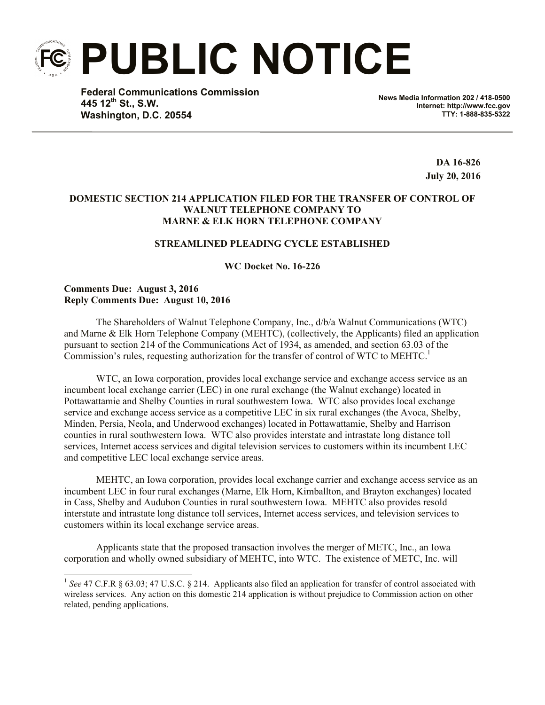**PUBLIC NOTICE**

**Federal Communications Commission 445 12th St., S.W. Washington, D.C. 20554**

**News Media Information 202 / 418-0500 Internet: http://www.fcc.gov TTY: 1-888-835-5322**

> **DA 16-826 July 20, 2016**

# **DOMESTIC SECTION 214 APPLICATION FILED FOR THE TRANSFER OF CONTROL OF WALNUT TELEPHONE COMPANY TO MARNE & ELK HORN TELEPHONE COMPANY**

## **STREAMLINED PLEADING CYCLE ESTABLISHED**

**WC Docket No. 16-226**

#### **Comments Due: August 3, 2016 Reply Comments Due: August 10, 2016**

The Shareholders of Walnut Telephone Company, Inc., d/b/a Walnut Communications (WTC) and Marne & Elk Horn Telephone Company (MEHTC), (collectively, the Applicants) filed an application pursuant to section 214 of the Communications Act of 1934, as amended, and section 63.03 of the Commission's rules, requesting authorization for the transfer of control of WTC to  $MEHTC$ .<sup>1</sup>

WTC, an Iowa corporation, provides local exchange service and exchange access service as an incumbent local exchange carrier (LEC) in one rural exchange (the Walnut exchange) located in Pottawattamie and Shelby Counties in rural southwestern Iowa. WTC also provides local exchange service and exchange access service as a competitive LEC in six rural exchanges (the Avoca, Shelby, Minden, Persia, Neola, and Underwood exchanges) located in Pottawattamie, Shelby and Harrison counties in rural southwestern Iowa. WTC also provides interstate and intrastate long distance toll services, Internet access services and digital television services to customers within its incumbent LEC and competitive LEC local exchange service areas.

MEHTC, an Iowa corporation, provides local exchange carrier and exchange access service as an incumbent LEC in four rural exchanges (Marne, Elk Horn, Kimballton, and Brayton exchanges) located in Cass, Shelby and Audubon Counties in rural southwestern Iowa. MEHTC also provides resold interstate and intrastate long distance toll services, Internet access services, and television services to customers within its local exchange service areas.

Applicants state that the proposed transaction involves the merger of METC, Inc., an Iowa corporation and wholly owned subsidiary of MEHTC, into WTC. The existence of METC, Inc. will

 1 *See* 47 C.F.R § 63.03; 47 U.S.C. § 214. Applicants also filed an application for transfer of control associated with wireless services. Any action on this domestic 214 application is without prejudice to Commission action on other related, pending applications.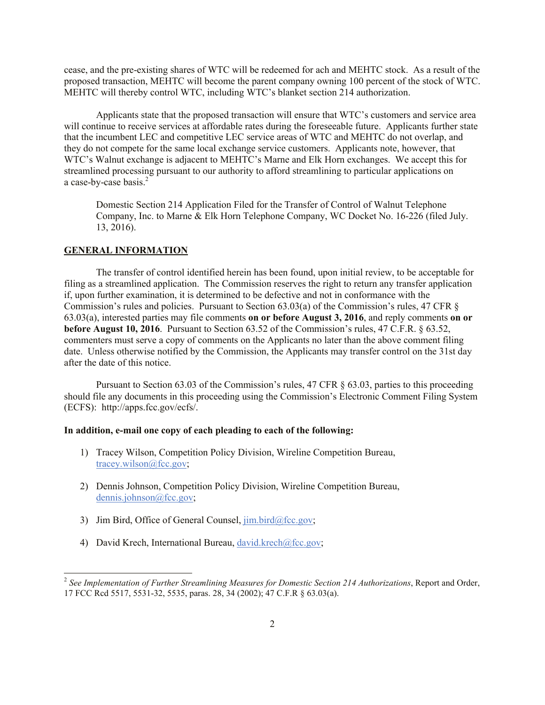cease, and the pre-existing shares of WTC will be redeemed for ach and MEHTC stock. As a result of the proposed transaction, MEHTC will become the parent company owning 100 percent of the stock of WTC. MEHTC will thereby control WTC, including WTC's blanket section 214 authorization.

Applicants state that the proposed transaction will ensure that WTC's customers and service area will continue to receive services at affordable rates during the foreseeable future. Applicants further state that the incumbent LEC and competitive LEC service areas of WTC and MEHTC do not overlap, and they do not compete for the same local exchange service customers. Applicants note, however, that WTC's Walnut exchange is adjacent to MEHTC's Marne and Elk Horn exchanges. We accept this for streamlined processing pursuant to our authority to afford streamlining to particular applications on a case-by-case basis. $2^7$ 

Domestic Section 214 Application Filed for the Transfer of Control of Walnut Telephone Company, Inc. to Marne & Elk Horn Telephone Company, WC Docket No. 16-226 (filed July. 13, 2016).

## **GENERAL INFORMATION**

 $\overline{\phantom{a}}$ 

The transfer of control identified herein has been found, upon initial review, to be acceptable for filing as a streamlined application. The Commission reserves the right to return any transfer application if, upon further examination, it is determined to be defective and not in conformance with the Commission's rules and policies. Pursuant to Section 63.03(a) of the Commission's rules, 47 CFR § 63.03(a), interested parties may file comments **on or before August 3, 2016**, and reply comments **on or before August 10, 2016**. Pursuant to Section 63.52 of the Commission's rules, 47 C.F.R. § 63.52, commenters must serve a copy of comments on the Applicants no later than the above comment filing date. Unless otherwise notified by the Commission, the Applicants may transfer control on the 31st day after the date of this notice.

Pursuant to Section 63.03 of the Commission's rules, 47 CFR § 63.03, parties to this proceeding should file any documents in this proceeding using the Commission's Electronic Comment Filing System (ECFS): http://apps.fcc.gov/ecfs/.

#### **In addition, e-mail one copy of each pleading to each of the following:**

- 1) Tracey Wilson, Competition Policy Division, Wireline Competition Bureau, tracey.wilson@fcc.gov;
- 2) Dennis Johnson, Competition Policy Division, Wireline Competition Bureau, dennis.johnson@fcc.gov;
- 3) Jim Bird, Office of General Counsel,  $\lim_{h \to 0} \frac{\text{bird}}{\text{det} \text{sec}}$ .gov;
- 4) David Krech, International Bureau, david.krech@fcc.gov;

<sup>2</sup> *See Implementation of Further Streamlining Measures for Domestic Section 214 Authorizations*, Report and Order, 17 FCC Rcd 5517, 5531-32, 5535, paras. 28, 34 (2002); 47 C.F.R § 63.03(a).